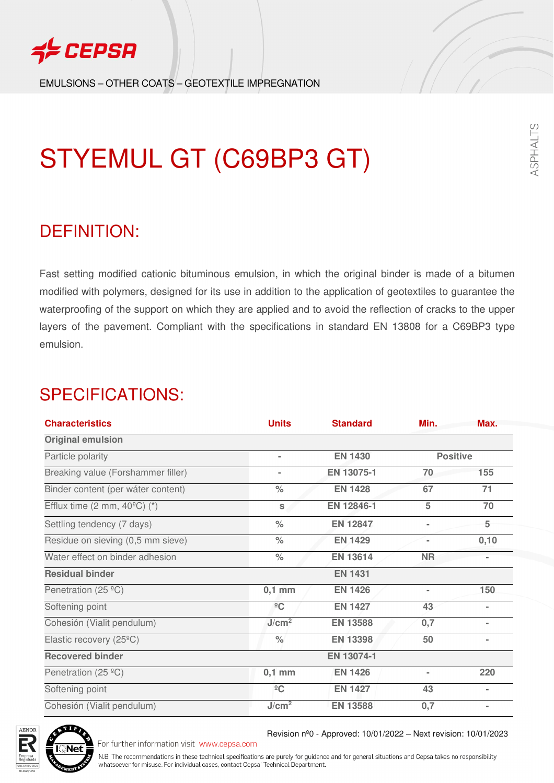

EMULSIONS – OTHER COATS – GEOTEXTILE IMPREGNATION

# STYEMUL GT (C69BP3 GT)

### DEFINITION:

Fast setting modified cationic bituminous emulsion, in which the original binder is made of a bitumen modified with polymers, designed for its use in addition to the application of geotextiles to guarantee the waterproofing of the support on which they are applied and to avoid the reflection of cracks to the upper layers of the pavement. Compliant with the specifications in standard EN 13808 for a C69BP3 type emulsion.

### SPECIFICATIONS:

| <b>Characteristics</b>                               | <b>Units</b>         | <b>Standard</b> | Min.            | Max.           |
|------------------------------------------------------|----------------------|-----------------|-----------------|----------------|
| <b>Original emulsion</b>                             |                      |                 |                 |                |
| Particle polarity                                    | $\blacksquare$       | <b>EN 1430</b>  | <b>Positive</b> |                |
| Breaking value (Forshammer filler)                   | $\blacksquare$       | EN 13075-1      | 70              | 155            |
| Binder content (per wáter content)                   | $\%$                 | <b>EN 1428</b>  | 67              | 71             |
| Efflux time $(2 \text{ mm}, 40^{\circ}\text{C})$ (*) | $\mathbf{s}$         | EN 12846-1      | 5               | 70             |
| Settling tendency (7 days)                           | $\frac{1}{2}$        | <b>EN 12847</b> |                 | 5              |
| Residue on sieving (0,5 mm sieve)                    | $\%$                 | <b>EN 1429</b>  |                 | 0,10           |
| Water effect on binder adhesion                      | $\%$                 | <b>EN 13614</b> | <b>NR</b>       |                |
| <b>Residual binder</b>                               |                      | <b>EN 1431</b>  |                 |                |
| Penetration (25 °C)                                  | $0,1$ mm             | <b>EN 1426</b>  |                 | 150            |
| Softening point                                      | $\rm ^{9}C$          | <b>EN 1427</b>  | 43              | $\blacksquare$ |
| Cohesión (Vialit pendulum)                           | J/cm <sup>2</sup>    | <b>EN 13588</b> | 0,7             | $\blacksquare$ |
| Elastic recovery (25 <sup>°</sup> C)                 | $\frac{1}{\sqrt{2}}$ | <b>EN 13398</b> | 50              |                |
| <b>Recovered binder</b>                              |                      | EN 13074-1      |                 |                |
| Penetration (25 $°C$ )                               | $0,1$ mm             | <b>EN 1426</b>  | ٠               | 220            |
| Softening point                                      | $\frac{1}{2}C$       | <b>EN 1427</b>  | 43              | $\blacksquare$ |
| Cohesión (Vialit pendulum)                           | J/cm <sup>2</sup>    | <b>EN 13588</b> | 0,7             | $\blacksquare$ |



For further information visit www.cepsa.com

Revision nº0 - Approved: 10/01/2022 – Next revision: 10/01/2023

N.B: The recommendations in these technical specifications are purely for guidance and for general situations and Cepsa takes no responsibility whatsoever for misuse. For individual cases, contact Cepsa' Technical Department.